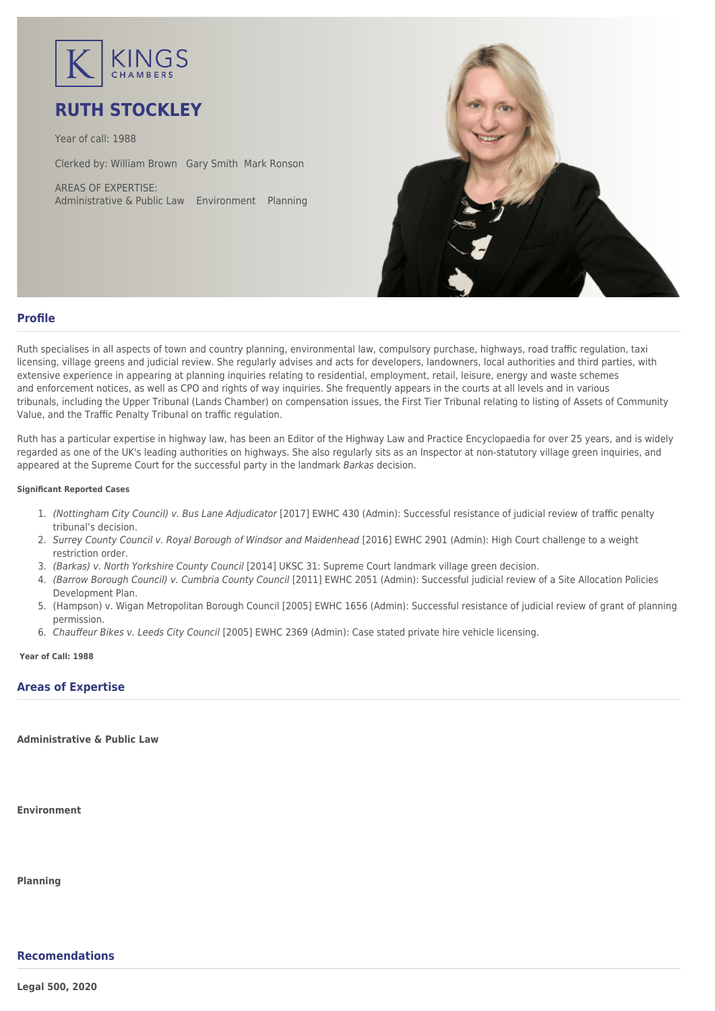

# **RUTH STOCKLEY**

Year of call: 1988

Clerked by: [William Brown](mailto:wbrown@kingschambers.com) [Gary Smith](mailto:gsmith@kingschambers.com) [Mark Ronson](mailto:mronson@kingschambers.com)

AREAS OF EXPERTISE: Administrative & Public Law Environment Planning



# **Profile**

Ruth specialises in all aspects of town and country planning, environmental law, compulsory purchase, highways, road traffic regulation, taxi licensing, village greens and judicial review. She regularly advises and acts for developers, landowners, local authorities and third parties, with extensive experience in appearing at planning inquiries relating to residential, employment, retail, leisure, energy and waste schemes and enforcement notices, as well as CPO and rights of way inquiries. She frequently appears in the courts at all levels and in various tribunals, including the Upper Tribunal (Lands Chamber) on compensation issues, the First Tier Tribunal relating to listing of Assets of Community Value, and the Traffic Penalty Tribunal on traffic regulation.

Ruth has a particular expertise in highway law, has been an Editor of the Highway Law and Practice Encyclopaedia for over 25 years, and is widely regarded as one of the UK's leading authorities on highways. She also regularly sits as an Inspector at non-statutory village green inquiries, and appeared at the Supreme Court for the successful party in the landmark Barkas decision.

#### **Significant Reported Cases**

- 1. (Nottingham City Council) v. Bus Lane Adjudicator [2017] EWHC 430 (Admin): Successful resistance of judicial review of traffic penalty tribunal's decision.
- 2. Surrey County Council v. Royal Borough of Windsor and Maidenhead [2016] EWHC 2901 (Admin): High Court challenge to a weight restriction order.
- 3. (Barkas) v. North Yorkshire County Council [2014] UKSC 31: Supreme Court landmark village green decision.
- 4. (Barrow Borough Council) v. Cumbria County Council [2011] EWHC 2051 (Admin): Successful judicial review of a Site Allocation Policies Development Plan.
- 5. (Hampson) v. Wigan Metropolitan Borough Council [2005] EWHC 1656 (Admin): Successful resistance of judicial review of grant of planning permission.
- 6. Chauffeur Bikes v. Leeds City Council [2005] EWHC 2369 (Admin): Case stated private hire vehicle licensing.

 **Year of Call: 1988**

# **Areas of Expertise**

**[Administrative & Public Law](#page--1-0)**

**[Environment](#page--1-0)**

**[Planning](#page--1-0)**

# **Recomendations**